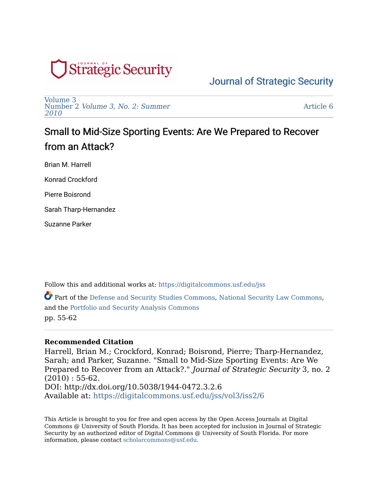

[Volume 3](https://digitalcommons.usf.edu/jss/vol3)  Number 2 [Volume 3, No. 2: Summer](https://digitalcommons.usf.edu/jss/vol3/iss2)  [2010](https://digitalcommons.usf.edu/jss/vol3/iss2) 

[Article 6](https://digitalcommons.usf.edu/jss/vol3/iss2/6) 

# Small to Mid-Size Sporting Events: Are We Prepared to Recover from an Attack?

Brian M. Harrell

Konrad Crockford

Pierre Boisrond

Sarah Tharp-Hernandez

Suzanne Parker

Follow this and additional works at: [https://digitalcommons.usf.edu/jss](https://digitalcommons.usf.edu/jss?utm_source=digitalcommons.usf.edu%2Fjss%2Fvol3%2Fiss2%2F6&utm_medium=PDF&utm_campaign=PDFCoverPages)

Part of the [Defense and Security Studies Commons,](http://network.bepress.com/hgg/discipline/394?utm_source=digitalcommons.usf.edu%2Fjss%2Fvol3%2Fiss2%2F6&utm_medium=PDF&utm_campaign=PDFCoverPages) [National Security Law Commons,](http://network.bepress.com/hgg/discipline/1114?utm_source=digitalcommons.usf.edu%2Fjss%2Fvol3%2Fiss2%2F6&utm_medium=PDF&utm_campaign=PDFCoverPages) and the [Portfolio and Security Analysis Commons](http://network.bepress.com/hgg/discipline/640?utm_source=digitalcommons.usf.edu%2Fjss%2Fvol3%2Fiss2%2F6&utm_medium=PDF&utm_campaign=PDFCoverPages)  pp. 55-62

## **Recommended Citation**

Harrell, Brian M.; Crockford, Konrad; Boisrond, Pierre; Tharp-Hernandez, Sarah; and Parker, Suzanne. "Small to Mid-Size Sporting Events: Are We Prepared to Recover from an Attack?." Journal of Strategic Security 3, no. 2  $(2010): 55-62.$ DOI: http://dx.doi.org/10.5038/1944-0472.3.2.6 Available at: [https://digitalcommons.usf.edu/jss/vol3/iss2/6](https://digitalcommons.usf.edu/jss/vol3/iss2/6?utm_source=digitalcommons.usf.edu%2Fjss%2Fvol3%2Fiss2%2F6&utm_medium=PDF&utm_campaign=PDFCoverPages)

This Article is brought to you for free and open access by the Open Access Journals at Digital Commons @ University of South Florida. It has been accepted for inclusion in Journal of Strategic Security by an authorized editor of Digital Commons @ University of South Florida. For more information, please contact [scholarcommons@usf.edu.](mailto:scholarcommons@usf.edu)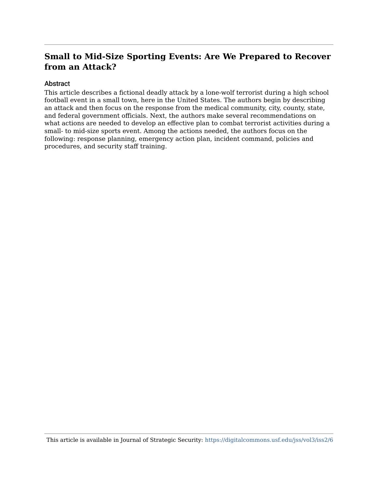#### Abstract

This article describes a fictional deadly attack by a lone-wolf terrorist during a high school football event in a small town, here in the United States. The authors begin by describing an attack and then focus on the response from the medical community, city, county, state, and federal government officials. Next, the authors make several recommendations on what actions are needed to develop an effective plan to combat terrorist activities during a small- to mid-size sports event. Among the actions needed, the authors focus on the following: response planning, emergency action plan, incident command, policies and procedures, and security staff training.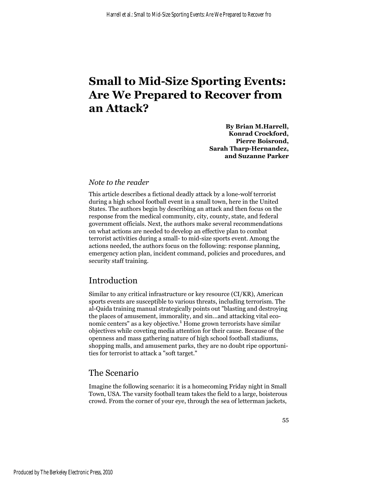**By Brian M.Harrell, Konrad Crockford, Pierre Boisrond, Sarah Tharp-Hernandez, and Suzanne Parker**

#### *Note to the reader*

This article describes a fictional deadly attack by a lone-wolf terrorist during a high school football event in a small town, here in the United States. The authors begin by describing an attack and then focus on the response from the medical community, city, county, state, and federal government officials. Next, the authors make several recommendations on what actions are needed to develop an effective plan to combat terrorist activities during a small- to mid-size sports event. Among the actions needed, the authors focus on the following: response planning, emergency action plan, incident command, policies and procedures, and security staff training.

# Introduction

Similar to any critical infrastructure or key resource (CI/KR), American sports events are susceptible to various threats, including terrorism. The al-Qaida training manual strategically points out "blasting and destroying the places of amusement, immorality, and sin...and attacking vital economic centers" as a key objective.<sup>1</sup> Home grown terrorists have similar objectives while coveting media attention for their cause. Because of the openness and mass gathering nature of high school football stadiums, shopping malls, and amusement parks, they are no doubt ripe opportunities for terrorist to attack a "soft target."

#### The Scenario

Imagine the following scenario: it is a homecoming Friday night in Small Town, USA. The varsity football team takes the field to a large, boisterous crowd. From the corner of your eye, through the sea of letterman jackets,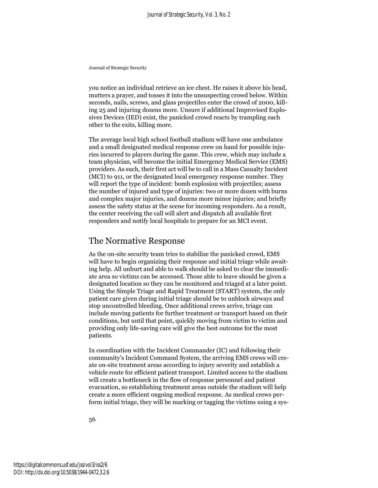you notice an individual retrieve an ice chest. He raises it above his head, mutters a prayer, and tosses it into the unsuspecting crowd below. Within seconds, nails, screws, and glass projectiles enter the crowd of 2000, killing 25 and injuring dozens more. Unsure if additional Improvised Explosives Devices (IED) exist, the panicked crowd reacts by trampling each other to the exits, killing more.

The average local high school football stadium will have one ambulance and a small designated medical response crew on hand for possible injuries incurred to players during the game. This crew, which may include a team physician, will become the initial Emergency Medical Service (EMS) providers. As such, their first act will be to call in a Mass Casualty Incident (MCI) to 911, or the designated local emergency response number. They will report the type of incident: bomb explosion with projectiles; assess the number of injured and type of injuries: two or more dozen with burns and complex major injuries, and dozens more minor injuries; and briefly assess the safety status at the scene for incoming responders. As a result, the center receiving the call will alert and dispatch all available first responders and notify local hospitals to prepare for an MCI event.

# The Normative Response

As the on-site security team tries to stabilize the panicked crowd, EMS will have to begin organizing their response and initial triage while awaiting help. All unhurt and able to walk should be asked to clear the immediate area so victims can be accessed. Those able to leave should be given a designated location so they can be monitored and triaged at a later point. Using the Simple Triage and Rapid Treatment (START) system, the only patient care given during initial triage should be to unblock airways and stop uncontrolled bleeding. Once additional crews arrive, triage can include moving patients for further treatment or transport based on their conditions, but until that point, quickly moving from victim to victim and providing only life-saving care will give the best outcome for the most patients.

In coordination with the Incident Commander (IC) and following their community's Incident Command System, the arriving EMS crews will create on-site treatment areas according to injury severity and establish a vehicle route for efficient patient transport. Limited access to the stadium will create a bottleneck in the flow of response personnel and patient evacuation, so establishing treatment areas outside the stadium will help create a more efficient ongoing medical response. As medical crews perform initial triage, they will be marking or tagging the victims using a sys-

56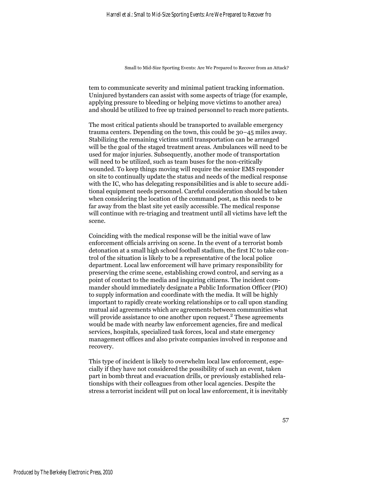tem to communicate severity and minimal patient tracking information. Uninjured bystanders can assist with some aspects of triage (for example, applying pressure to bleeding or helping move victims to another area) and should be utilized to free up trained personnel to reach more patients.

The most critical patients should be transported to available emergency trauma centers. Depending on the town, this could be 30–45 miles away. Stabilizing the remaining victims until transportation can be arranged will be the goal of the staged treatment areas. Ambulances will need to be used for major injuries. Subsequently, another mode of transportation will need to be utilized, such as team buses for the non-critically wounded. To keep things moving will require the senior EMS responder on site to continually update the status and needs of the medical response with the IC, who has delegating responsibilities and is able to secure additional equipment needs personnel. Careful consideration should be taken when considering the location of the command post, as this needs to be far away from the blast site yet easily accessible. The medical response will continue with re-triaging and treatment until all victims have left the scene.

Coinciding with the medical response will be the initial wave of law enforcement officials arriving on scene. In the event of a terrorist bomb detonation at a small high school football stadium, the first IC to take control of the situation is likely to be a representative of the local police department. Local law enforcement will have primary responsibility for preserving the crime scene, establishing crowd control, and serving as a point of contact to the media and inquiring citizens. The incident commander should immediately designate a Public Information Officer (PIO) to supply information and coordinate with the media. It will be highly important to rapidly create working relationships or to call upon standing mutual aid agreements which are agreements between communities what will provide assistance to one another upon request.<sup>2</sup> These agreements would be made with nearby law enforcement agencies, fire and medical services, hospitals, specialized task forces, local and state emergency management offices and also private companies involved in response and recovery.

This type of incident is likely to overwhelm local law enforcement, especially if they have not considered the possibility of such an event, taken part in bomb threat and evacuation drills, or previously established relationships with their colleagues from other local agencies. Despite the stress a terrorist incident will put on local law enforcement, it is inevitably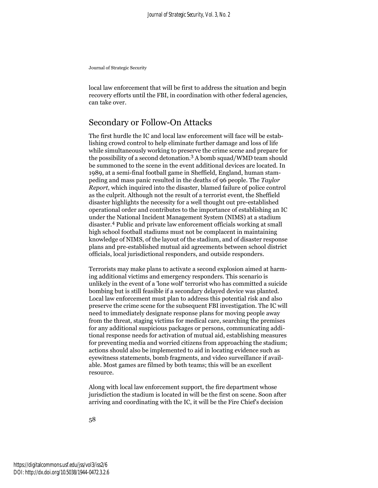local law enforcement that will be first to address the situation and begin recovery efforts until the FBI, in coordination with other federal agencies, can take over.

# Secondary or Follow-On Attacks

The first hurdle the IC and local law enforcement will face will be establishing crowd control to help eliminate further damage and loss of life while simultaneously working to preserve the crime scene and prepare for the possibility of a second detonation.3 A bomb squad/WMD team should be summoned to the scene in the event additional devices are located. In 1989, at a semi-final football game in Sheffield, England, human stampeding and mass panic resulted in the deaths of 96 people. The *Taylor Report*, which inquired into the disaster, blamed failure of police control as the culprit. Although not the result of a terrorist event, the Sheffield disaster highlights the necessity for a well thought out pre-established operational order and contributes to the importance of establishing an IC under the National Incident Management System (NIMS) at a stadium disaster.4 Public and private law enforcement officials working at small high school football stadiums must not be complacent in maintaining knowledge of NIMS, of the layout of the stadium, and of disaster response plans and pre-established mutual aid agreements between school district officials, local jurisdictional responders, and outside responders.

Terrorists may make plans to activate a second explosion aimed at harming additional victims and emergency responders. This scenario is unlikely in the event of a 'lone wolf' terrorist who has committed a suicide bombing but is still feasible if a secondary delayed device was planted. Local law enforcement must plan to address this potential risk and also preserve the crime scene for the subsequent FBI investigation. The IC will need to immediately designate response plans for moving people away from the threat, staging victims for medical care, searching the premises for any additional suspicious packages or persons, communicating additional response needs for activation of mutual aid, establishing measures for preventing media and worried citizens from approaching the stadium; actions should also be implemented to aid in locating evidence such as eyewitness statements, bomb fragments, and video surveillance if available. Most games are filmed by both teams; this will be an excellent resource.

Along with local law enforcement support, the fire department whose jurisdiction the stadium is located in will be the first on scene. Soon after arriving and coordinating with the IC, it will be the Fire Chief's decision

58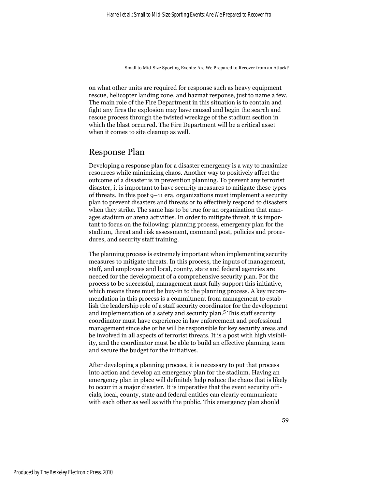on what other units are required for response such as heavy equipment rescue, helicopter landing zone, and hazmat response, just to name a few. The main role of the Fire Department in this situation is to contain and fight any fires the explosion may have caused and begin the search and rescue process through the twisted wreckage of the stadium section in which the blast occurred. The Fire Department will be a critical asset when it comes to site cleanup as well.

### Response Plan

Developing a response plan for a disaster emergency is a way to maximize resources while minimizing chaos. Another way to positively affect the outcome of a disaster is in prevention planning. To prevent any terrorist disaster, it is important to have security measures to mitigate these types of threats. In this post 9–11 era, organizations must implement a security plan to prevent disasters and threats or to effectively respond to disasters when they strike. The same has to be true for an organization that manages stadium or arena activities. In order to mitigate threat, it is important to focus on the following: planning process, emergency plan for the stadium, threat and risk assessment, command post, policies and procedures, and security staff training.

The planning process is extremely important when implementing security measures to mitigate threats. In this process, the inputs of management, staff, and employees and local, county, state and federal agencies are needed for the development of a comprehensive security plan. For the process to be successful, management must fully support this initiative, which means there must be buy-in to the planning process. A key recommendation in this process is a commitment from management to establish the leadership role of a staff security coordinator for the development and implementation of a safety and security plan.5 This staff security coordinator must have experience in law enforcement and professional management since she or he will be responsible for key security areas and be involved in all aspects of terrorist threats. It is a post with high visibility, and the coordinator must be able to build an effective planning team and secure the budget for the initiatives.

After developing a planning process, it is necessary to put that process into action and develop an emergency plan for the stadium. Having an emergency plan in place will definitely help reduce the chaos that is likely to occur in a major disaster. It is imperative that the event security officials, local, county, state and federal entities can clearly communicate with each other as well as with the public. This emergency plan should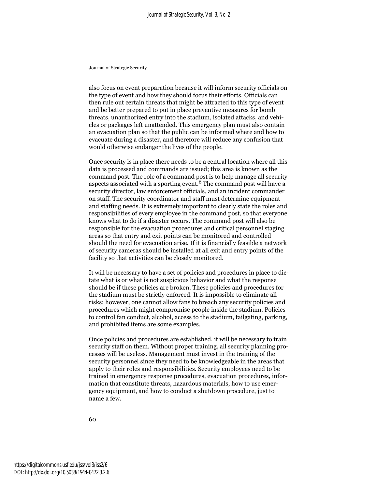also focus on event preparation because it will inform security officials on the type of event and how they should focus their efforts. Officials can then rule out certain threats that might be attracted to this type of event and be better prepared to put in place preventive measures for bomb threats, unauthorized entry into the stadium, isolated attacks, and vehicles or packages left unattended. This emergency plan must also contain an evacuation plan so that the public can be informed where and how to evacuate during a disaster, and therefore will reduce any confusion that would otherwise endanger the lives of the people.

Once security is in place there needs to be a central location where all this data is processed and commands are issued; this area is known as the command post. The role of a command post is to help manage all security aspects associated with a sporting event.6 The command post will have a security director, law enforcement officials, and an incident commander on staff. The security coordinator and staff must determine equipment and staffing needs. It is extremely important to clearly state the roles and responsibilities of every employee in the command post, so that everyone knows what to do if a disaster occurs. The command post will also be responsible for the evacuation procedures and critical personnel staging areas so that entry and exit points can be monitored and controlled should the need for evacuation arise. If it is financially feasible a network of security cameras should be installed at all exit and entry points of the facility so that activities can be closely monitored.

It will be necessary to have a set of policies and procedures in place to dictate what is or what is not suspicious behavior and what the response should be if these policies are broken. These policies and procedures for the stadium must be strictly enforced. It is impossible to eliminate all risks; however, one cannot allow fans to breach any security policies and procedures which might compromise people inside the stadium. Policies to control fan conduct, alcohol, access to the stadium, tailgating, parking, and prohibited items are some examples.

Once policies and procedures are established, it will be necessary to train security staff on them. Without proper training, all security planning processes will be useless. Management must invest in the training of the security personnel since they need to be knowledgeable in the areas that apply to their roles and responsibilities. Security employees need to be trained in emergency response procedures, evacuation procedures, information that constitute threats, hazardous materials, how to use emergency equipment, and how to conduct a shutdown procedure, just to name a few.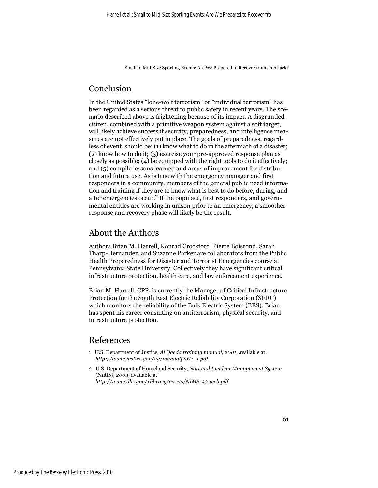# Conclusion

In the United States "lone-wolf terrorism" or "individual terrorism" has been regarded as a serious threat to public safety in recent years. The scenario described above is frightening because of its impact. A disgruntled citizen, combined with a primitive weapon system against a soft target, will likely achieve success if security, preparedness, and intelligence measures are not effectively put in place. The goals of preparedness, regardless of event, should be: (1) know what to do in the aftermath of a disaster; (2) know how to do it; (3) exercise your pre-approved response plan as closely as possible; (4) be equipped with the right tools to do it effectively; and (5) compile lessons learned and areas of improvement for distribution and future use. As is true with the emergency manager and first responders in a community, members of the general public need information and training if they are to know what is best to do before, during, and after emergencies occur.<sup>7</sup> If the populace, first responders, and governmental entities are working in unison prior to an emergency, a smoother response and recovery phase will likely be the result.

# About the Authors

Authors Brian M. Harrell, Konrad Crockford, Pierre Boisrond, Sarah Tharp-Hernandez, and Suzanne Parker are collaborators from the Public Health Preparedness for Disaster and Terrorist Emergencies course at Pennsylvania State University. Collectively they have significant critical infrastructure protection, health care, and law enforcement experience.

Brian M. Harrell, CPP, is currently the Manager of Critical Infrastructure Protection for the South East Electric Reliability Corporation (SERC) which monitors the reliability of the Bulk Electric System (BES). Brian has spent his career consulting on antiterrorism, physical security, and infrastructure protection.

## References

- 1 U.S. Department of Justice*, Al Qaeda training manual*, *2001*, available at: *http://www.justice.gov/ag/manualpart1\_1.pdf*.
- 2 U.S. Department of Homeland Security, *National Incident Management System (NIMS), 2004*, available at: *http://www.dhs.gov/xlibrary/assets/NIMS-90-web.pdf*.